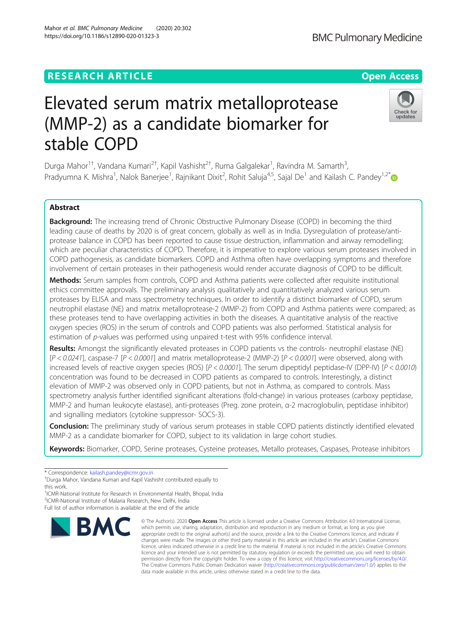## **RESEARCH ARTICLE Example 2014 12:30 The Contract of Contract ACCESS**

# Elevated serum matrix metalloprotease (MMP-2) as a candidate biomarker for stable COPD

Durga Mahor<sup>1†</sup>, Vandana Kumari<sup>2†</sup>, Kapil Vashisht<sup>2†</sup>, Ruma Galgalekar<sup>1</sup>, Ravindra M. Samarth<sup>3</sup> , Pradyumna K. Mishra<sup>1</sup>, Nalok Banerjee<sup>1</sup>, Rajnikant Dixit<sup>2</sup>, Rohit Saluja<sup>4,5</sup>, Sajal De<sup>1</sup> and Kailash C. Pandey<sup>1,2[\\*](http://orcid.org/0000-0003-3936-4357)</sup>

## Abstract

Background: The increasing trend of Chronic Obstructive Pulmonary Disease (COPD) in becoming the third leading cause of deaths by 2020 is of great concern, globally as well as in India. Dysregulation of protease/antiprotease balance in COPD has been reported to cause tissue destruction, inflammation and airway remodelling; which are peculiar characteristics of COPD. Therefore, it is imperative to explore various serum proteases involved in COPD pathogenesis, as candidate biomarkers. COPD and Asthma often have overlapping symptoms and therefore involvement of certain proteases in their pathogenesis would render accurate diagnosis of COPD to be difficult.

**Methods:** Serum samples from controls, COPD and Asthma patients were collected after requisite institutional ethics committee approvals. The preliminary analysis qualitatively and quantitatively analyzed various serum proteases by ELISA and mass spectrometry techniques. In order to identify a distinct biomarker of COPD, serum neutrophil elastase (NE) and matrix metalloprotease-2 (MMP-2) from COPD and Asthma patients were compared; as these proteases tend to have overlapping activities in both the diseases. A quantitative analysis of the reactive oxygen species (ROS) in the serum of controls and COPD patients was also performed. Statistical analysis for estimation of p-values was performed using unpaired t-test with 95% confidence interval.

Results: Amongst the significantly elevated proteases in COPD patients vs the controls- neutrophil elastase (NE)  $[P < 0.0241]$ , caspase-7  $[P < 0.0001]$  and matrix metalloprotease-2 (MMP-2)  $[P < 0.0001]$  were observed, along with increased levels of reactive oxygen species (ROS) [P < 0.0001]. The serum dipeptidyl peptidase-IV (DPP-IV) [P < 0.0010) concentration was found to be decreased in COPD patients as compared to controls. Interestingly, a distinct elevation of MMP-2 was observed only in COPD patients, but not in Asthma, as compared to controls. Mass spectrometry analysis further identified significant alterations (fold-change) in various proteases (carboxy peptidase, MMP-2 and human leukocyte elastase), anti-proteases (Preg. zone protein, α-2 macroglobulin, peptidase inhibitor) and signalling mediators (cytokine suppressor- SOCS-3).

Conclusion: The preliminary study of various serum proteases in stable COPD patients distinctly identified elevated MMP-2 as a candidate biomarker for COPD, subject to its validation in large cohort studies.

Keywords: Biomarker, COPD, Serine proteases, Cysteine proteases, Metallo proteases, Caspases, Protease inhibitors

<sup>1</sup>ICMR-National Institute for Research in Environmental Health, Bhopal, India

data made available in this article, unless otherwise stated in a credit line to the data.

© The Author(s), 2020 **Open Access** This article is licensed under a Creative Commons Attribution 4.0 International License, which permits use, sharing, adaptation, distribution and reproduction in any medium or format, as long as you give



**BMC Pulmonary Medicine** 





<sup>\*</sup> Correspondence: [kailash.pandey@icmr.gov.in](mailto:kailash.pandey@icmr.gov.in) †

<sup>&</sup>lt;sup>+</sup>Durga Mahor, Vandana Kumari and Kapil Vashisht contributed equally to this work.

<sup>2</sup> ICMR-National Institute of Malaria Research, New Delhi, India

Full list of author information is available at the end of the article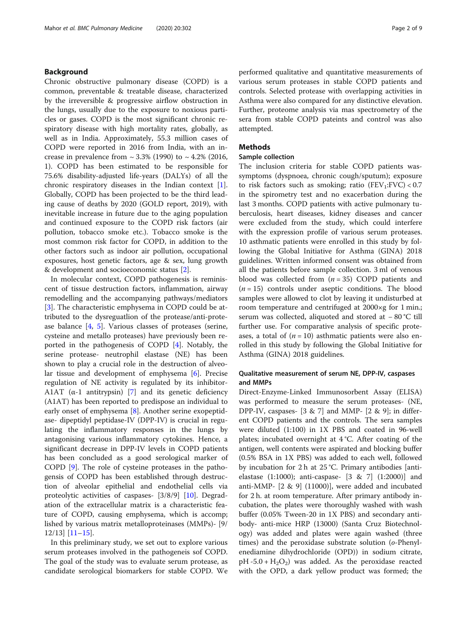## Background

Chronic obstructive pulmonary disease (COPD) is a common, preventable & treatable disease, characterized by the irreversible & progressive airflow obstruction in the lungs, usually due to the exposure to noxious particles or gases. COPD is the most significant chronic respiratory disease with high mortality rates, globally, as well as in India. Approximately, 55.3 million cases of COPD were reported in 2016 from India, with an increase in prevalence from  $\sim 3.3\%$  (1990) to  $\sim 4.2\%$  (2016, 1). COPD has been estimated to be responsible for 75.6% disability-adjusted life-years (DALYs) of all the chronic respiratory diseases in the Indian context  $[1]$  $[1]$ . Globally, COPD has been projected to be the third leading cause of deaths by 2020 (GOLD report, 2019), with inevitable increase in future due to the aging population and continued exposure to the COPD risk factors (air pollution, tobacco smoke etc.). Tobacco smoke is the most common risk factor for COPD, in addition to the other factors such as indoor air pollution, occupational exposures, host genetic factors, age & sex, lung growth & development and socioeconomic status [\[2](#page-7-0)].

In molecular context, COPD pathogenesis is reminiscent of tissue destruction factors, inflammation, airway remodelling and the accompanying pathways/mediators [[3\]](#page-7-0). The characteristic emphysema in COPD could be attributed to the dysreguatlion of the protease/anti-protease balance [\[4](#page-7-0), [5\]](#page-7-0). Various classes of proteases (serine, cysteine and metallo proteases) have previously been reported in the pathogenesis of COPD [\[4](#page-7-0)]. Notably, the serine protease- neutrophil elastase (NE) has been shown to play a crucial role in the destruction of alveolar tissue and development of emphysema [[6\]](#page-7-0). Precise regulation of NE activity is regulated by its inhibitor-A1AT ( $\alpha$ -1 antitrypsin) [[7\]](#page-7-0) and its genetic deficiency (A1AT) has been reported to predispose an individual to early onset of emphysema [\[8](#page-7-0)]. Another serine exopeptidase- dipeptidyl peptidase-IV (DPP-IV) is crucial in regulating the inflammatory responses in the lungs by antagonising various inflammatory cytokines. Hence, a significant decrease in DPP-IV levels in COPD patients has been concluded as a good serological marker of COPD [[9\]](#page-7-0). The role of cysteine proteases in the pathogensis of COPD has been established through destruction of alveolar epithelial and endothelial cells via proteolytic activities of caspases- [3/8/9] [\[10](#page-7-0)]. Degradation of the extracellular matrix is a characteristic feature of COPD, causing emphysema, which is accomp; lished by various matrix metalloproteinases (MMPs)- [9/ 12/13] [\[11](#page-7-0)–[15\]](#page-7-0).

In this preliminary study, we set out to explore various serum proteases involved in the pathogeneis sof COPD. The goal of the study was to evaluate serum protease, as candidate serological biomarkers for stable COPD. We performed qualitative and quantitative measurements of various serum proteases in stable COPD patients and controls. Selected protease with overlapping activities in Asthma were also compared for any distinctive elevation. Further, proteome analysis via mas spectrometry of the sera from stable COPD pateints and control was also attempted.

## Methods

## Sample collection

The inclusion criteria for stable COPD patients wassymptoms (dyspnoea, chronic cough/sputum); exposure to risk factors such as smoking; ratio  $(FEV_1:FVC) < 0.7$ in the spirometry test and no exacerbation during the last 3 months. COPD patients with active pulmonary tuberculosis, heart diseases, kidney diseases and cancer were excluded from the study, which could interfere with the expression profile of various serum proteases. 10 asthmatic patients were enrolled in this study by following the Global Initiative for Asthma (GINA) 2018 guidelines. Written informed consent was obtained from all the patients before sample collection. 3 ml of venous blood was collected from  $(n = 35)$  COPD patients and  $(n = 15)$  controls under aseptic conditions. The blood samples were allowed to clot by leaving it undisturbed at room temperature and centrifuged at 2000×g for 1 min.; serum was collected, aliquoted and stored at − 80 °C till further use. For comparative analysis of specific proteases, a total of  $(n = 10)$  asthmatic patients were also enrolled in this study by following the Global Initiative for Asthma (GINA) 2018 guidelines.

## Qualitative measurement of serum NE, DPP-IV, caspases and MMPs

Direct-Enzyme-Linked Immunosorbent Assay (ELISA) was performed to measure the serum proteases- (NE, DPP-IV, caspases-  $[3 \& 7]$  and MMP-  $[2 \& 9]$ ; in different COPD patients and the controls. The sera samples were diluted (1:100) in 1X PBS and coated in 96-well plates; incubated overnight at 4 °C. After coating of the antigen, well contents were aspirated and blocking buffer (0.5% BSA in 1X PBS) was added to each well, followed by incubation for 2 h at 25 °C. Primary antibodies [antielastase (1:1000); anti-caspase- [3 & 7] (1:2000)] and anti-MMP- [2 & 9] (11000)], were added and incubated for 2 h. at room temperature. After primary antibody incubation, the plates were thoroughly washed with wash buffer (0.05% Tween-20 in 1X PBS) and secondary antibody- anti-mice HRP (13000) (Santa Cruz Biotechnology) was added and plates were again washed (three times) and the peroxidase substrate solution (o-Phenylenediamine dihydrochloride (OPD)) in sodium citrate,  $pH - 5.0 + H<sub>2</sub>O<sub>2</sub>$  was added. As the peroxidase reacted with the OPD, a dark yellow product was formed; the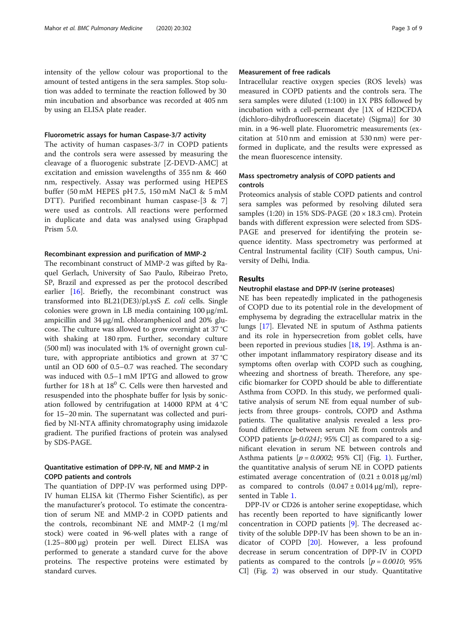intensity of the yellow colour was proportional to the amount of tested antigens in the sera samples. Stop solution was added to terminate the reaction followed by 30 min incubation and absorbance was recorded at 405 nm by using an ELISA plate reader.

## Fluorometric assays for human Caspase-3/7 activity

The activity of human caspases-3/7 in COPD patients and the controls sera were assessed by measuring the cleavage of a fluorogenic substrate [Z-DEVD-AMC] at excitation and emission wavelengths of 355 nm & 460 nm, respectively. Assay was performed using HEPES buffer (50 mM HEPES pH 7.5, 150 mM NaCl & 5 mM DTT). Purified recombinant human caspase-[3 & 7] were used as controls. All reactions were performed in duplicate and data was analysed using Graphpad Prism 5.0.

### Recombinant expression and purification of MMP-2

The recombinant construct of MMP-2 was gifted by Raquel Gerlach, University of Sao Paulo, Ribeirao Preto, SP, Brazil and expressed as per the protocol described earlier [[16\]](#page-7-0). Briefly, the recombinant construct was transformed into BL21(DE3)/pLysS E. coli cells. Single colonies were grown in LB media containing 100 μg/mL ampicillin and 34 μg/mL chloramphenicol and 20% glucose. The culture was allowed to grow overnight at 37 °C with shaking at 180 rpm. Further, secondary culture (500 ml) was inoculated with 1% of overnight grown culture, with appropriate antibiotics and grown at 37 °C until an OD 600 of 0.5–0.7 was reached. The secondary was induced with 0.5–1 mM IPTG and allowed to grow further for  $18 h$  at  $18^0$  C. Cells were then harvested and resuspended into the phosphate buffer for lysis by sonication followed by centrifugation at 14000 RPM at 4 °C for 15–20 min. The supernatant was collected and purified by NI-NTA affinity chromatography using imidazole gradient. The purified fractions of protein was analysed by SDS-PAGE.

## Quantitative estimation of DPP-IV, NE and MMP-2 in COPD patients and controls

The quantiation of DPP-IV was performed using DPP-IV human ELISA kit (Thermo Fisher Scientific), as per the manufacturer's protocol. To estimate the concentration of serum NE and MMP-2 in COPD patients and the controls, recombinant NE and MMP-2 (1 mg/ml stock) were coated in 96-well plates with a range of (1.25–800 μg) protein per well. Direct ELISA was performed to generate a standard curve for the above proteins. The respective proteins were estimated by standard curves.

## Measurement of free radicals

Intracellular reactive oxygen species (ROS levels) was measured in COPD patients and the controls sera. The sera samples were diluted (1:100) in 1X PBS followed by incubation with a cell-permeant dye [1X of H2DCFDA (dichloro-dihydrofluorescein diacetate) (Sigma)] for 30 min. in a 96-well plate. Fluorometric measurements (excitation at 510 nm and emission at 530 nm) were performed in duplicate, and the results were expressed as the mean fluorescence intensity.

## Mass spectrometry analysis of COPD patients and controls

Proteomics analysis of stable COPD patients and control sera samples was peformed by resolving diluted sera samples (1:20) in 15% SDS-PAGE (20 × 18.3 cm). Protein bands with different expression were selected from SDS-PAGE and preserved for identifying the protein sequence identity. Mass spectrometry was performed at Central Instrumental facility (CIF) South campus, University of Delhi, India.

## Results

## Neutrophil elastase and DPP-IV (serine proteases)

NE has been repeatedly implicated in the pathogenesis of COPD due to its potential role in the development of emphysema by degrading the extracellular matrix in the lungs [\[17\]](#page-7-0). Elevated NE in sputum of Asthma patients and its role in hypersecretion from goblet cells, have been reported in previous studies [[18,](#page-8-0) [19\]](#page-8-0). Asthma is another impotant inflammatory respiratory disease and its symptoms often overlap with COPD such as coughing, wheezing and shortness of breath. Therefore, any specific biomarker for COPD should be able to differentiate Asthma from COPD. In this study, we performed qualitative analysis of serum NE from equal number of subjects from three groups- controls, COPD and Asthma patients. The qualitative analysis revealed a less profound difference between serum NE from controls and COPD patients  $[p-0.0241; 95\% \text{ CI}]$  as compared to a significant elevation in serum NE between controls and Asthma patients  $[p = 0.0002; 95\% \text{ CI}]$  (Fig. [1\)](#page-3-0). Further, the quantitative analysis of serum NE in COPD patients estimated average concentration of  $(0.21 \pm 0.018 \,\mu\text{g/ml})$ as compared to controls  $(0.047 ± 0.014 μg/ml)$ , represented in Table [1.](#page-3-0)

DPP-IV or CD26 is antoher serine exopeptidase, which has recently been reported to have significantly lower concentration in COPD patients [[9\]](#page-7-0). The decreased activity of the soluble DPP-IV has been shown to be an indicator of COPD [[20](#page-8-0)]. However, a less profound decrease in serum concentration of DPP-IV in COPD patients as compared to the controls  $[p = 0.0010; 95\%]$ CI] (Fig. [2](#page-4-0)) was observed in our study. Quantitative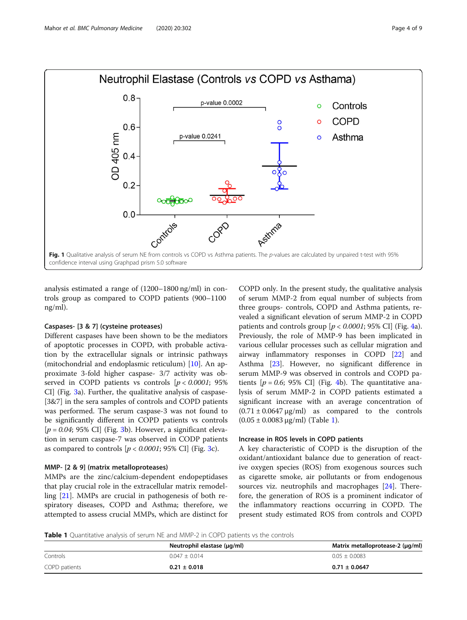<span id="page-3-0"></span>

analysis estimated a range of (1200–1800 ng/ml) in controls group as compared to COPD patients (900–1100 ng/ml).

## Caspases- [3 & 7] (cysteine proteases)

Different caspases have been shown to be the mediators of apoptotic processes in COPD, with probable activation by the extracellular signals or intrinsic pathways (mitochondrial and endoplasmic reticulum) [\[10\]](#page-7-0). An approximate 3-fold higher caspase- 3/7 activity was observed in COPD patients vs controls  $[p < 0.0001; 95\%]$ CI] (Fig. [3](#page-4-0)a). Further, the qualitative analysis of caspase- [3&7] in the sera samples of controls and COPD patients was performed. The serum caspase-3 was not found to be significantly different in COPD patients vs controls  $[p = 0.04; 95\% \text{ CI}]$  (Fig. [3b](#page-4-0)). However, a significant elevation in serum caspase-7 was observed in CODP patients as compared to controls  $[p < 0.0001; 95\% \text{ CI}]$  (Fig. [3c](#page-4-0)).

#### MMP- [2 & 9] (matrix metalloproteases)

MMPs are the zinc/calcium-dependent endopeptidases that play crucial role in the extracellular matrix remodelling [[21\]](#page-8-0). MMPs are crucial in pathogenesis of both respiratory diseases, COPD and Asthma; therefore, we attempted to assess crucial MMPs, which are distinct for COPD only. In the present study, the qualitative analysis of serum MMP-2 from equal number of subjects from three groups- controls, COPD and Asthma patients, revealed a significant elevation of serum MMP-2 in COPD patients and controls group  $[p < 0.0001; 95\% \text{ CI}]$  (Fig. [4a](#page-5-0)). Previously, the role of MMP-9 has been implicated in various cellular processes such as cellular migration and airway inflammatory responses in COPD [[22\]](#page-8-0) and Asthma [\[23\]](#page-8-0). However, no significant difference in serum MMP-9 was observed in controls and COPD patients  $[p = 0.6; 95\% \text{ CI}]$  (Fig. [4](#page-5-0)b). The quantitative analysis of serum MMP-2 in COPD patients estimated a significant increase with an average concentration of  $(0.71 \pm 0.0647 \,\mu\text{g/ml})$  as compared to the controls  $(0.05 \pm 0.0083 \,\mu\text{g/ml})$  (Table 1).

## Increase in ROS levels in COPD patients

A key characteristic of COPD is the disruption of the oxidant/antioxidant balance due to generation of reactive oxygen species (ROS) from exogenous sources such as cigarette smoke, air pollutants or from endogenous sources viz. neutrophils and macrophages [[24\]](#page-8-0). Therefore, the generation of ROS is a prominent indicator of the inflammatory reactions occurring in COPD. The present study estimated ROS from controls and COPD

**Table 1** Quantitative analysis of serum NE and MMP-2 in COPD patients vs the controls

|               | Neutrophil elastase (µg/ml) | Matrix metalloprotease-2 (µg/ml) |
|---------------|-----------------------------|----------------------------------|
| Controls      | $0.047 + 0.014$             | $0.05 + 0.0083$                  |
| COPD patients | $0.21 \pm 0.018$            | $0.71 \pm 0.0647$                |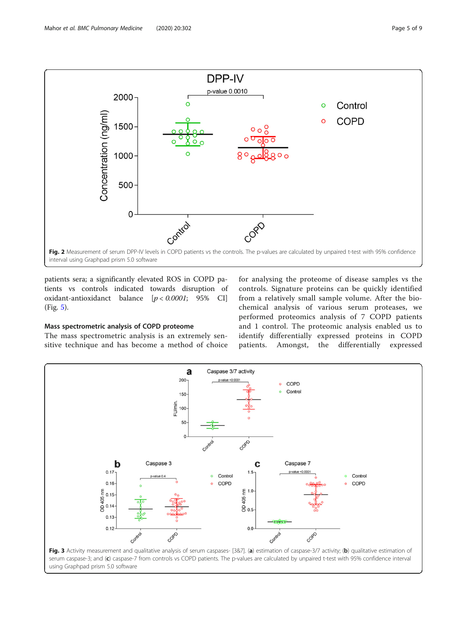<span id="page-4-0"></span>

patients sera; a significantly elevated ROS in COPD patients vs controls indicated towards disruption of oxidant-antioxidanct balance [p < 0.0001; 95% CI] (Fig. [5](#page-5-0)).

## Mass spectrometric analysis of COPD proteome

The mass spectrometric analysis is an extremely sensitive technique and has become a method of choice for analysing the proteome of disease samples vs the controls. Signature proteins can be quickly identified from a relatively small sample volume. After the biochemical analysis of various serum proteases, we performed proteomics analysis of 7 COPD patients and 1 control. The proteomic analysis enabled us to identify differentially expressed proteins in COPD patients. Amongst, the differentially expressed

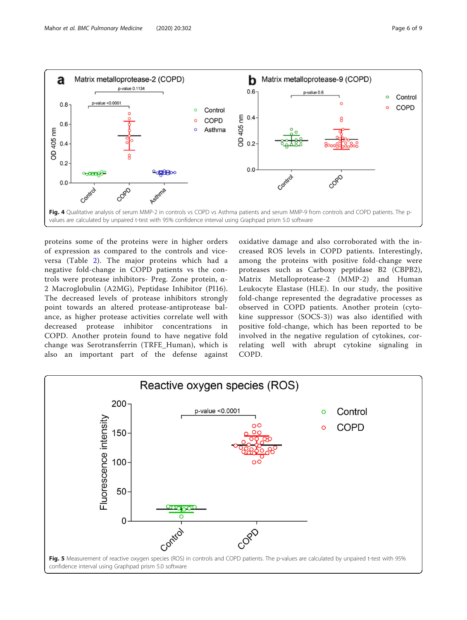<span id="page-5-0"></span>

proteins some of the proteins were in higher orders of expression as compared to the controls and viceversa (Table [2\)](#page-6-0). The major proteins which had a negative fold-change in COPD patients vs the controls were protease inhibitors- Preg. Zone protein, α-2 Macroglobulin (A2MG), Peptidase Inhibitor (PI16). The decreased levels of protease inhibitors strongly point towards an altered protease-antiprotease balance, as higher protease activities correlate well with decreased protease inhibitor concentrations in COPD. Another protein found to have negative fold change was Serotransferrin (TRFE\_Human), which is also an important part of the defense against

oxidative damage and also corroborated with the increased ROS levels in COPD patients. Interestingly, among the proteins with positive fold-change were proteases such as Carboxy peptidase B2 (CBPB2), Matrix Metalloprotease-2 (MMP-2) and Human Leukocyte Elastase (HLE). In our study, the positive fold-change represented the degradative processes as observed in COPD patients. Another protein (cytokine suppressor (SOCS-3)) was also identified with positive fold-change, which has been reported to be involved in the negative regulation of cytokines, correlating well with abrupt cytokine signaling in COPD.

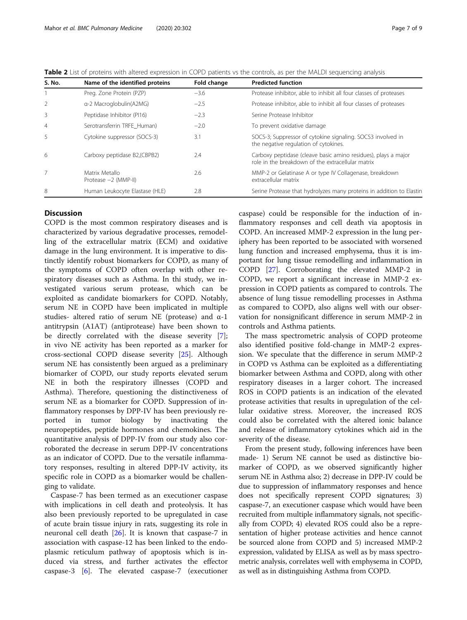<span id="page-6-0"></span>

| S. No.         | Name of the identified proteins          | Fold change | <b>Predicted function</b>                                                                                           |
|----------------|------------------------------------------|-------------|---------------------------------------------------------------------------------------------------------------------|
|                | Preg. Zone Protein (PZP)                 | $-3.6$      | Protease inhibitor, able to inhibit all four classes of proteases                                                   |
| 2              | a-2 Macroglobulin(A2MG)                  | $-2.5$      | Protease inhibitor, able to inhibit all four classes of proteases                                                   |
| 3              | Peptidase Inhibitor (PI16)               | $-2.3$      | Serine Protease Inhibitor                                                                                           |
| $\overline{4}$ | Serotransferrin TRFE Human)              | $-2.0$      | To prevent oxidative damage                                                                                         |
| 5              | Cytokine suppressor (SOCS-3)             | 3.1         | SOCS-3; Suppressor of cytokine signaling. SOCS3 involved in<br>the negative regulation of cytokines.                |
| 6              | Carboxy peptidase B2, (CBPB2)            | 7.4         | Carboxy peptidase (cleave basic amino residues), plays a major<br>role in the breakdown of the extracellular matrix |
| 7              | Matrix Metallo<br>Protease $-2$ (MMP-II) | 2.6         | MMP-2 or Gelatinase A or type IV Collagenase, breakdown<br>extracellular matrix                                     |
| 8              | Human Leukocyte Elastase (HLE)           | 2.8         | Serine Protease that hydrolyzes many proteins in addition to Elastin                                                |

## **Discussion**

COPD is the most common respiratory diseases and is characterized by various degradative processes, remodelling of the extracellular matrix (ECM) and oxidative damage in the lung environment. It is imperative to distinctly identify robust biomarkers for COPD, as many of the symptoms of COPD often overlap with other respiratory diseases such as Asthma. In thi study, we investigated various serum protease, which can be exploited as candidate biomarkers for COPD. Notably, serum NE in COPD have been implicated in multiple studies- altered ratio of serum NE (protease) and α-1 antitrypsin (A1AT) (antiprotease) have been shown to be directly correlated with the disease severity [\[7](#page-7-0)]; in vivo NE activity has been reported as a marker for cross-sectional COPD disease severity [[25\]](#page-8-0). Although serum NE has consistently been argued as a preliminary biomarker of COPD, our study reports elevated serum NE in both the respiratory illnesses (COPD and Asthma). Therefore, questioning the distinctiveness of serum NE as a biomarker for COPD. Suppression of inflammatory responses by DPP-IV has been previously reported in tumor biology by inactivating the neuropeptides, peptide hormones and chemokines. The quantitative analysis of DPP-IV from our study also corroborated the decrease in serum DPP-IV concentrations as an indicator of COPD. Due to the versatile inflammatory responses, resulting in altered DPP-IV activity, its specific role in COPD as a biomarker would be challenging to validate.

Caspase-7 has been termed as an executioner caspase with implications in cell death and proteolysis. It has also been previously reported to be upregulated in case of acute brain tissue injury in rats, suggesting its role in neuronal cell death [[26\]](#page-8-0). It is known that caspase-7 in association with caspase-12 has been linked to the endoplasmic reticulum pathway of apoptosis which is induced via stress, and further activates the effector caspase-3 [\[6](#page-7-0)]. The elevated caspase-7 (executioner

caspase) could be responsible for the induction of inflammatory responses and cell death via apoptosis in COPD. An increased MMP-2 expression in the lung periphery has been reported to be associated with worsened lung function and increased emphysema, thus it is important for lung tissue remodelling and inflammation in COPD [\[27](#page-8-0)]. Corroborating the elevated MMP-2 in COPD, we report a significant increase in MMP-2 expression in COPD patients as compared to controls. The absence of lung tissue remodelling processes in Asthma as compared to COPD, also aligns well with our observation for nonsignificant difference in serum MMP-2 in controls and Asthma patients.

The mass spectrometric analysis of COPD proteome also identified positive fold-change in MMP-2 expression. We speculate that the difference in serum MMP-2 in COPD vs Asthma can be exploited as a differentiating biomarker between Asthma and COPD, along with other respiratory diseases in a larger cohort. The increased ROS in COPD patients is an indication of the elevated protease activities that results in upregulation of the cellular oxidative stress. Moreover, the increased ROS could also be correlated with the altered ionic balance and release of inflammatory cytokines which aid in the severity of the disease.

From the present study, following inferences have been made- 1) Serum NE cannot be used as distinctive biomarker of COPD, as we observed significantly higher serum NE in Asthma also; 2) decrease in DPP-IV could be due to suppression of inflammatory responses and hence does not specifically represent COPD signatures; 3) caspase-7, an executioner caspase which would have been recruited from multiple inflammatory signals, not specifically from COPD; 4) elevated ROS could also be a representation of higher protease activities and hence cannot be sourced alone from COPD and 5) increased MMP-2 expression, validated by ELISA as well as by mass spectrometric analysis, correlates well with emphysema in COPD, as well as in distinguishing Asthma from COPD.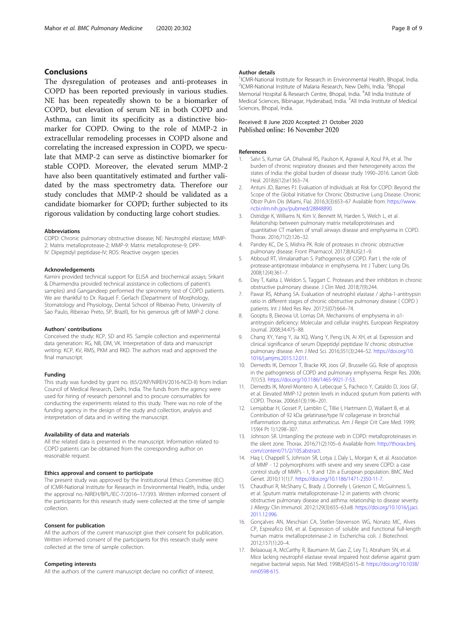## <span id="page-7-0"></span>Conclusions

The dysregulation of proteases and anti-proteases in COPD has been reported previously in various studies. NE has been repeatedly shown to be a biomarker of COPD, but elevation of serum NE in both COPD and Asthma, can limit its specificity as a distinctive biomarker for COPD. Owing to the role of MMP-2 in extracellular remodeling processes in COPD alsone and correlating the increased expression in COPD, we speculate that MMP-2 can serve as distinctive biomarker for stable COPD. Moreover, the elevated serum MMP-2 have also been quantitatively estimated and further validated by the mass spectrometry data. Therefore our study concludes that MMP-2 should be validated as a candidate biomarker for COPD; further subjected to its rigorous validation by conducting large cohort studies.

#### Abbreviations

COPD: Chronic pulmonary obstructive disease; NE: Neutrophil elastase; MMP-2: Matrix metalloprotease-2; MMP-9: Matrix metalloprotese-9; DPP-IV: Dipeptidyl peptidase-IV; ROS: Reactive oxygen species

#### Acknowledgements

Kamini provided technical support for ELISA and biochemical assays; Srikant & Dharmendra provided technical assistance in collections of patient's samples) and Gangandeep performed the spirometry test of COPD patients. We are thankful to Dr. Raquel F. Gerlach (Department of Morphology, Stomatology and Physiology, Dental School of Ribeirao Preto, University of Sao Paulo, Ribeirao Preto, SP, Brazil), for his generous gift of MMP-2 clone.

#### Authors' contributions

Conceived the study: KCP, SD and RS. Sample collection and experimental data generation: RG, NB, DM, VK. Interpretation of data and manuscript writing: KCP, KV, RMS, PKM and RKD. The authors read and approved the final manuscript.

#### Funding

This study was funded by grant no. (65/2/KP/NIREH/2016-NCD-II) from Indian Council of Medical Research, Delhi, India. The funds from the agency were used for hiring of research personnel and to procure consumables for conducting the experiments related to this study. There was no role of the funding agency in the design of the study and collection, analysis and interpretation of data and in writing the manuscript.

#### Availability of data and materials

All the related data is presented in the manuscript. Information related to COPD patients can be obtained from the corresponding author on reasonable request.

#### Ethics approval and consent to participate

The present study was approved by the Institutional Ethics Committee (IEC) of ICMR-National Institute for Research in Environmental Health, India, under the approval no.-NIREH/BPL/IEC-7/2016–17/393. Written informed consent of the participants for this research study were collected at the time of sample collection.

#### Consent for publication

All the authors of the current manuscript give their consent for publication. Written informed consent of the participants for this research study were collected at the time of sample collection.

#### Competing interests

All the authors of the current manuscript declare no conflict of interest.

#### Author details

<sup>1</sup>ICMR-National Institute for Research in Environmental Health, Bhopal, India <sup>2</sup>ICMR-National Institute of Malaria Research, New Delhi, India. <sup>3</sup>Bhopal Memorial Hospital & Research Centre, Bhopal, India. <sup>4</sup>All India Institute of Medical Sciences, Bibinagar, Hyderabad, India. <sup>5</sup>All India Institute of Medical Sciences, Bhopal, India.

## Received: 8 June 2020 Accepted: 21 October 2020 Published online: 16 November 2020

#### References

- 1. Salvi S, Kumar GA, Dhaliwal RS, Paulson K, Agrawal A, Koul PA, et al. The burden of chronic respiratory diseases and their heterogeneity across the states of India: the global burden of disease study 1990–2016. Lancet Glob Heal. 2018;6(12):e1363–74.
- 2. Antuni JD, Barnes PJ. Evaluation of Individuals at Risk for COPD: Beyond the Scope of the Global Initiative for Chronic Obstructive Lung Disease. Chronic Obstr Pulm Dis (Miami, Fla). 2016;3(3):653–67 Available from: [https://www.](https://www.ncbi.nlm.nih.gov/pubmed/28848890) [ncbi.nlm.nih.gov/pubmed/28848890](https://www.ncbi.nlm.nih.gov/pubmed/28848890).
- 3. Ostridge K, Williams N, Kim V, Bennett M, Harden S, Welch L, et al. Relationship between pulmonary matrix metalloproteinases and quantitative CT markers of small airways disease and emphysema in COPD. Thorax. 2016;71(2):126–32.
- 4. Pandey KC, De S, Mishra PK. Role of proteases in chronic obstructive pulmonary disease. Front Pharmacol. 2017;8(AUG):1–9.
- 5. Abboud RT, Vimalanathan S. Pathogenesis of COPD. Part I. the role of protease-antiprotease imbalance in emphysema. Int J Tuberc Lung Dis. 2008;12(4):361–7.
- 6. Dey T, Kalita J, Weldon S, Taggart C. Proteases and their inhibitors in chronic obstructive pulmonary disease. J Clin Med. 2018;7(9):244.
- 7. Pawar RS, Abhang SA. Evaluation of neutrophil elastase / alpha-1-antitrypsin ratio in different stages of chronic obstructive pulmonary disease ( COPD ) patients. Int J Med Res Rev. 2017;5(07):664–74.
- 8. Gooptu B, Ekeowa UI, Lomas DA. Mechanisms of emphysema in α1 antitrypsin deficiency: Molecular and cellular insights. European Respiratory Journal. 2008;34:475–88.
- 9. Chang XY, Yang Y, Jia XQ, Wang Y, Peng LN, Ai XH, et al. Expression and clinical significance of serum Dipeptidyl peptidase IV chronic obstructive pulmonary disease. Am J Med Sci. 2016;351(3):244–52. [https://doi.org/10.](https://doi.org/10.1016/j.amjms.2015.12.011) [1016/j.amjms.2015.12.011.](https://doi.org/10.1016/j.amjms.2015.12.011)
- 10. Demedts IK, Demoor T, Bracke KR, Joos GF, Brusselle GG. Role of apoptosis in the pathogenesis of COPD and pulmonary emphysema. Respir Res. 2006; 7(1):53. [https://doi.org/10.1186/1465-9921-7-53.](https://doi.org/10.1186/1465-9921-7-53)
- 11. Demedts IK, Morel-Montero A, Lebecque S, Pacheco Y, Cataldo D, Joos GF, et al. Elevated MMP-12 protein levels in induced sputum from patients with COPD. Thorax. 2006;61(3):196–201.
- 12. Lemjabbar H, Gosset P, Lamblin C, Tillie I, Hartmann D, Wallaert B, et al. Contribution of 92 kDa gelatinase/type IV collagenase in bronchial inflammation during status asthmaticus. Am J Respir Crit Care Med. 1999; 159(4 Pt 1):1298–307.
- 13. Johnson SR. Untangling the protease web in COPD: metalloproteinases in the silent zone. Thorax. 2016;71(2):105–6 Available from: [http://thorax.bmj.](http://thorax.bmj.com/content/71/2/105.abstract) [com/content/71/2/105.abstract](http://thorax.bmj.com/content/71/2/105.abstract).
- 14. Haq I, Chappell S, Johnson SR, Lotya J, Daly L, Morgan K, et al. Association of MMP - 12 polymorphisms with severe and very severe COPD: a case control study of MMPs - 1, 9 and 12in a European population. BMC Med Genet. 2010;11(1):7. [https://doi.org/10.1186/1471-2350-11-7.](https://doi.org/10.1186/1471-2350-11-7)
- 15. Chaudhuri R, McSharry C, Brady J, Donnelly I, Grierson C, McGuinness S, et al. Sputum matrix metalloproteinase-12 in patients with chronic obstructive pulmonary disease and asthma: relationship to disease severity. J Allergy Clin Immunol. 2012;129(3):655–63.e8. [https://doi.org/10.1016/j.jaci.](https://doi.org/10.1016/j.jaci.2011.12.996) [2011.12.996.](https://doi.org/10.1016/j.jaci.2011.12.996)
- 16. Gonçalves AN, Meschiari CA, Stetler-Stevenson WG, Nonato MC, Alves CP, Espreafico EM, et al. Expression of soluble and functional full-length human matrix metalloproteinase-2 in Escherichia coli. J Biotechnol. 2012;157(1):20–4.
- 17. Belaaouaj A, McCarthy R, Baumann M, Gao Z, Ley TJ, Abraham SN, et al. Mice lacking neutrophil elastase reveal impaired host defense against gram negative bacterial sepsis. Nat Med. 1998;4(5):615–8. [https://doi.org/10.1038/](https://doi.org/10.1038/nm0598-615) [nm0598-615](https://doi.org/10.1038/nm0598-615).